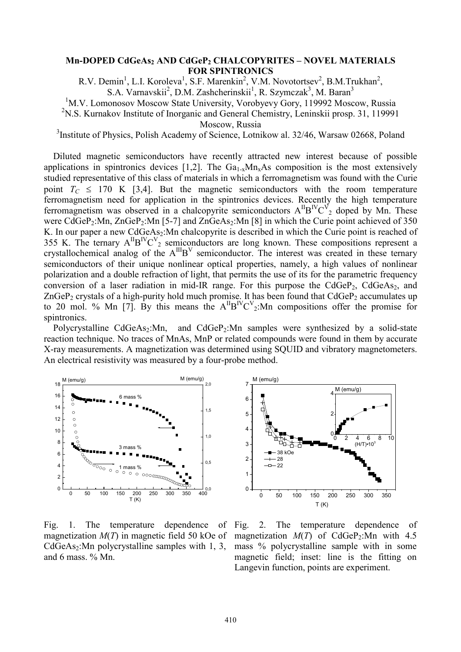## **Mn-DOPED CdGeAs<sup>2</sup> AND CdGeP<sup>2</sup> CHALCOPYRITES – NOVEL MATERIALS FOR SPINTRONICS**

R.V. Demin<sup>1</sup>, L.I. Koroleva<sup>1</sup>, S.F. Marenkin<sup>2</sup>, V.M. Novotortsev<sup>2</sup>, B.M.Trukhan<sup>2</sup>, S.A. Varnavskii<sup>2</sup>, D.M. Zashcherinskii<sup>1</sup>, R. Szymczak<sup>3</sup>, M. Baran<sup>3</sup>

<sup>1</sup>M.V. Lomonosov Moscow State University, Vorobyevy Gory, 119992 Moscow, Russia

<sup>2</sup>N.S. Kurnakov Institute of Inorganic and General Chemistry, Leninskii prosp. 31, 119991

Moscow, Russia

<sup>3</sup> Institute of Physics, Polish Academy of Science, Lotnikow al. 32/46, Warsaw 02668, Poland

Diluted magnetic semiconductors have recently attracted new interest because of possible applications in spintronics devices [1,2]. The  $Ga_{1-x}Mn_xAs$  composition is the most extensively studied representative of this class of materials in which a ferromagnetism was found with the Curie point  $T_c \leq 170$  K [3,4]. But the magnetic semiconductors with the room temperature ferromagnetism need for application in the spintronics devices. Recently the high temperature ferromagnetism was observed in a chalcopyrite semiconductors  $A^{II}B^{IV}C^{V}{}_{2}$  doped by Mn. These were  $\widehat{CdGeP_2:}$ Mn,  $\widehat{ZnGeP_2:}$ Mn [5-7] and  $\widehat{ZnGeAs_2:}$ Mn [8] in which the Curie point achieved of 350 K. In our paper a new  $CdGeAs<sub>2</sub>:Mn$  chalcopyrite is described in which the Curie point is reached of 355 K. The ternary  $A^{II}B^{IV}C^{V}$ <sub>2</sub> semiconductors are long known. These compositions represent a crystallochemical analog of the  $A^{III}B^{V}$  semiconductor. The interest was created in these ternary semiconductors of their unique nonlinear optical properties, namely, a high values of nonlinear polarization and a double refraction of light, that permits the use of its for the parametric frequency conversion of a laser radiation in mid-IR range. For this purpose the  $CdGeP<sub>2</sub>$ ,  $CdGeAs<sub>2</sub>$ , and ZnGeP<sub>2</sub> crystals of a high-purity hold much promise. It has been found that  $CdGeP_2$  accumulates up to 20 mol. % Mn [7]. By this means the  $A^{II}B^{IV}C^{V}$ <sub>2</sub>: Mn compositions offer the promise for spintronics.

Polycrystalline  $CdGeAs<sub>2</sub>:Mn$ , and  $CdGeP<sub>2</sub>:Mn$  samples were synthesized by a solid-state reaction technique. No traces of MnAs, MnP or related compounds were found in them by accurate X-ray measurements. A magnetization was determined using SQUID and vibratory magnetometers. An electrical resistivity was measured by a four-probe method.



Fig. 1. The temperature dependence of magnetization *M*(*T*) in magnetic field 50 kOe of  $CdGeAs<sub>2</sub>:Mn polycrystalline samples with 1, 3,$ and 6 mass. % Mn.



Fig. 2. The temperature dependence of magnetization  $M(T)$  of CdGeP<sub>2</sub>:Mn with 4.5 mass % polycrystalline sample with in some magnetic field; inset: line is the fitting on Langevin function, points are experiment.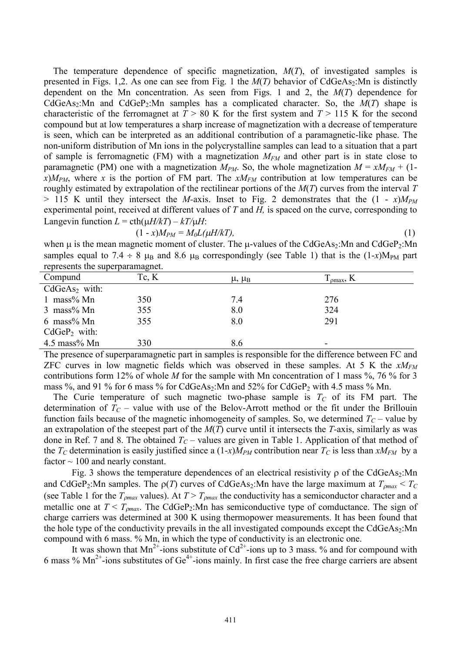The temperature dependence of specific magnetization, *M*(*T*), of investigated samples is presented in Figs. 1,2. As one can see from Fig. 1 the  $M(T)$  behavior of CdGeAs<sub>2</sub>:Mn is distinctly dependent on the Mn concentration. As seen from Figs. 1 and 2, the *M*(*T*) dependence for CdGeAs<sub>2</sub>:Mn and CdGeP<sub>2</sub>:Mn samples has a complicated character. So, the  $M(T)$  shape is characteristic of the ferromagnet at  $T > 80$  K for the first system and  $T > 115$  K for the second compound but at low temperatures a sharp increase of magnetization with a decrease of temperature is seen, which can be interpreted as an additional contribution of a paramagnetic-like phase. The non-uniform distribution of Mn ions in the polycrystalline samples can lead to a situation that a part of sample is ferromagnetic (FM) with a magnetization *MFM* and other part is in state close to paramagnetic (PM) one with a magnetization  $M_{PM}$ . So, the whole magnetization  $M = xM_{FM} + (1 - y)$  $x$ ) $M_{PM}$ , where *x* is the portion of FM part. The  $xM_{FM}$  contribution at low temperatures can be roughly estimated by extrapolation of the rectilinear portions of the *M*(*T*) curves from the interval *T*   $>$  115 K until they intersect the *M*-axis. Inset to Fig. 2 demonstrates that the  $(1 - x)M_{PM}$ experimental point, received at different values of *T* and *H,* is spaced on the curve, corresponding to Langevin function  $L = \text{cth}(\mu H/kT) - kT/\mu H$ :

$$
(1-x)M_{PM} = M_0L(\mu H/kT),\tag{1}
$$

when  $\mu$  is the mean magnetic moment of cluster. The  $\mu$ -values of the CdGeAs<sub>2</sub>:Mn and CdGeP<sub>2</sub>:Mn samples equal to 7.4  $\div$  8  $\mu_B$  and 8.6  $\mu_B$  correspondingly (see Table 1) that is the (1-*x*)M<sub>PM</sub> part represents the superparamagnet.

|                 | . .   |                            |                       |
|-----------------|-------|----------------------------|-----------------------|
| Compund         | Tc, K | $\mu$ , $\mu$ <sub>B</sub> | $T_{\text{omax}}$ , K |
| $CdGeAs2$ with: |       |                            |                       |
| 1 mass% $Mn$    | 350   | 7.4                        | 276                   |
| $3$ mass% Mn    | 355   | 8.0                        | 324                   |
| $6$ mass% Mn    | 355   | 8.0                        | 291                   |
| $CdGeP_2$ with: |       |                            |                       |
| $4.5$ mass% Mn  | 330   | 8.6                        |                       |

The presence of superparamagnetic part in samples is responsible for the difference between FC and ZFC curves in low magnetic fields which was observed in these samples. At 5 K the *xMFM* contributions form 12% of whole *M* for the sample with Mn concentration of 1 mass %, 76 % for 3 mass  $\%$ , and 91  $\%$  for 6 mass  $\%$  for CdGeAs<sub>2</sub>:Mn and 52% for CdGeP<sub>2</sub> with 4.5 mass  $\%$  Mn.

The Curie temperature of such magnetic two-phase sample is  $T_C$  of its FM part. The determination of  $T_C$  – value with use of the Belov-Arrott method or the fit under the Brillouin function fails because of the magnetic inhomogeneity of samples. So, we determined  $T_C$  – value by an extrapolation of the steepest part of the *M*(*T*) curve until it intersects the *T-*axis, similarly as was done in Ref. 7 and 8. The obtained *T<sup>C</sup>* – values are given in Table 1. Application of that method of the  $T_C$  determination is easily justified since a  $(1-x)M_{PM}$  contribution near  $T_C$  is less than  $xM_{FM}$  by a factor  $\sim$  100 and nearly constant.

Fig. 3 shows the temperature dependences of an electrical resistivity  $\rho$  of the CdGeAs<sub>2</sub>:Mn and CdGeP<sub>2</sub>:Mn samples. The  $\rho(T)$  curves of CdGeAs<sub>2</sub>:Mn have the large maximum at  $T_{\rho max} < T_C$ (see Table 1 for the  $T_{\text{omax}}$  values). At  $T > T_{\text{omax}}$  the conductivity has a semiconductor character and a metallic one at  $T < T_{omax}$ . The CdGeP<sub>2</sub>:Mn has semiconductive type of comductance. The sign of charge carriers was determined at 300 K using thermopower measurements. It has been found that the hole type of the conductivity prevails in the all investigated compounds except the CdGeAs2:Mn compound with 6 mass. % Mn, in which the type of conductivity is an electronic one.

It was shown that  $Mn^{2+}$ -ions substitute of Cd<sup>2+</sup>-ions up to 3 mass. % and for compound with 6 mass %  $\text{Mn}^2$ -ions substitutes of Ge<sup>4+</sup>-ions mainly. In first case the free charge carriers are absent